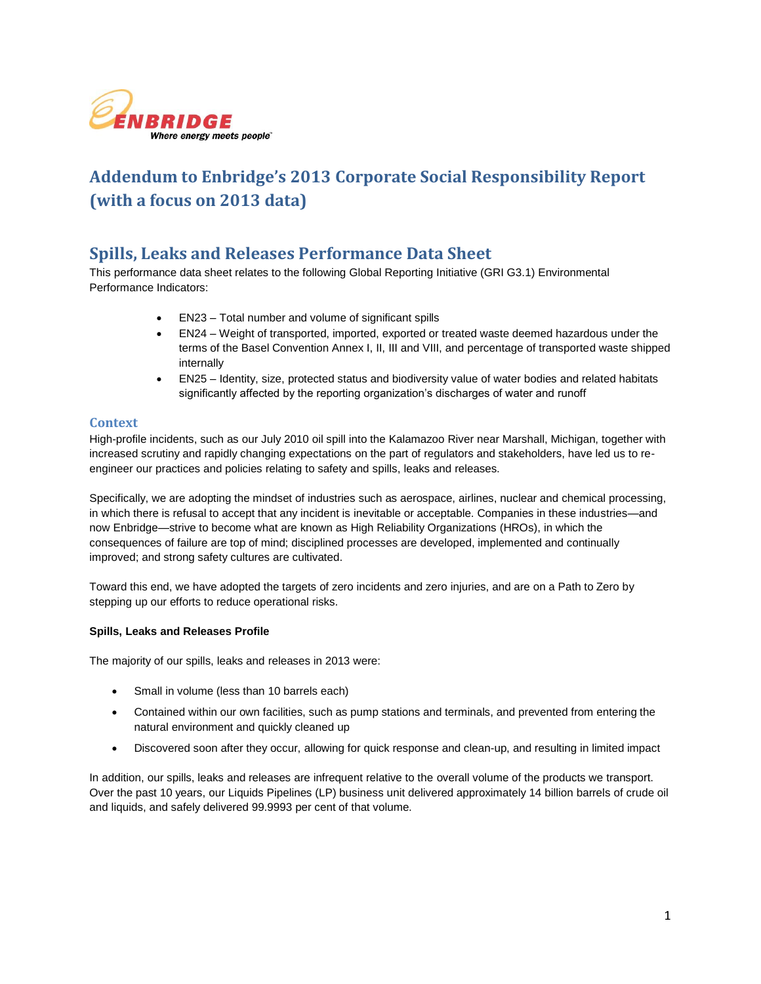

# **Addendum to Enbridge's 2013 Corporate Social Responsibility Report (with a focus on 2013 data)**

## **Spills, Leaks and Releases Performance Data Sheet**

This performance data sheet relates to the following Global Reporting Initiative (GRI G3.1) Environmental Performance Indicators:

- EN23 Total number and volume of significant spills
- EN24 Weight of transported, imported, exported or treated waste deemed hazardous under the terms of the Basel Convention Annex I, II, III and VIII, and percentage of transported waste shipped internally
- EN25 Identity, size, protected status and biodiversity value of water bodies and related habitats significantly affected by the reporting organization's discharges of water and runoff

#### **Context**

High-profile incidents, such as our July 2010 oil spill into the Kalamazoo River near Marshall, Michigan, together with increased scrutiny and rapidly changing expectations on the part of regulators and stakeholders, have led us to reengineer our practices and policies relating to safety and spills, leaks and releases.

Specifically, we are adopting the mindset of industries such as aerospace, airlines, nuclear and chemical processing, in which there is refusal to accept that any incident is inevitable or acceptable. Companies in these industries—and now Enbridge—strive to become what are known as High Reliability Organizations (HROs), in which the consequences of failure are top of mind; disciplined processes are developed, implemented and continually improved; and strong safety cultures are cultivated.

Toward this end, we have adopted the targets of zero incidents and zero injuries, and are on a Path to Zero by stepping up our efforts to reduce operational risks.

#### **Spills, Leaks and Releases Profile**

The majority of our spills, leaks and releases in 2013 were:

- Small in volume (less than 10 barrels each)
- Contained within our own facilities, such as pump stations and terminals, and prevented from entering the natural environment and quickly cleaned up
- Discovered soon after they occur, allowing for quick response and clean-up, and resulting in limited impact

In addition, our spills, leaks and releases are infrequent relative to the overall volume of the products we transport. Over the past 10 years, our Liquids Pipelines (LP) business unit delivered approximately 14 billion barrels of crude oil and liquids, and safely delivered 99.9993 per cent of that volume.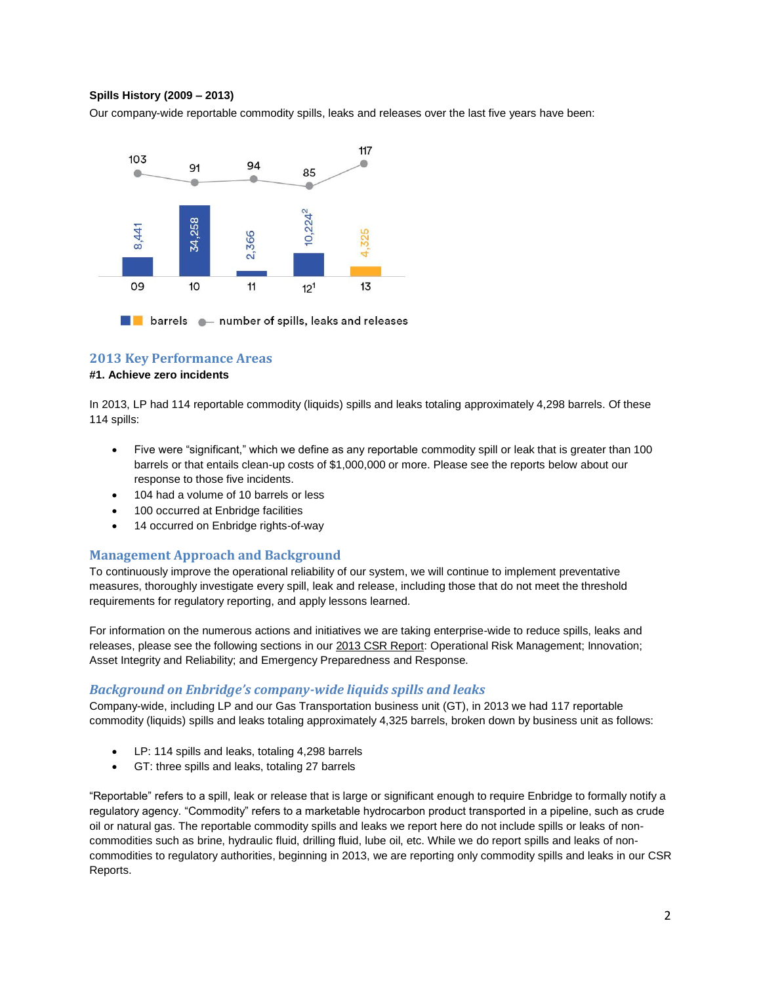#### **Spills History (2009 – 2013)**

Our company-wide reportable commodity spills, leaks and releases over the last five years have been:



#### **2013 Key Performance Areas**

#### **#1. Achieve zero incidents**

In 2013, LP had 114 reportable commodity (liquids) spills and leaks totaling approximately 4,298 barrels. Of these 114 spills:

- Five were "significant," which we define as any reportable commodity spill or leak that is greater than 100 barrels or that entails clean-up costs of \$1,000,000 or more. Please see the reports below about our response to those five incidents.
- 104 had a volume of 10 barrels or less
- 100 occurred at Enbridge facilities
- 14 occurred on Enbridge rights-of-way

#### **Management Approach and Background**

To continuously improve the operational reliability of our system, we will continue to implement preventative measures, thoroughly investigate every spill, leak and release, including those that do not meet the threshold requirements for regulatory reporting, and apply lessons learned.

For information on the numerous actions and initiatives we are taking enterprise-wide to reduce spills, leaks and releases, please see the following sections in our [2013 CSR Report:](http://csr.enbridge.com/Downloads.aspx) Operational Risk Management; Innovation; Asset Integrity and Reliability; and Emergency Preparedness and Response.

#### *Background on Enbridge's company-wide liquids spills and leaks*

Company-wide, including LP and our Gas Transportation business unit (GT), in 2013 we had 117 reportable commodity (liquids) spills and leaks totaling approximately 4,325 barrels, broken down by business unit as follows:

- LP: 114 spills and leaks, totaling 4,298 barrels
- GT: three spills and leaks, totaling 27 barrels

"Reportable" refers to a spill, leak or release that is large or significant enough to require Enbridge to formally notify a regulatory agency. "Commodity" refers to a marketable hydrocarbon product transported in a pipeline, such as crude oil or natural gas. The reportable commodity spills and leaks we report here do not include spills or leaks of noncommodities such as brine, hydraulic fluid, drilling fluid, lube oil, etc. While we do report spills and leaks of noncommodities to regulatory authorities, beginning in 2013, we are reporting only commodity spills and leaks in our CSR Reports.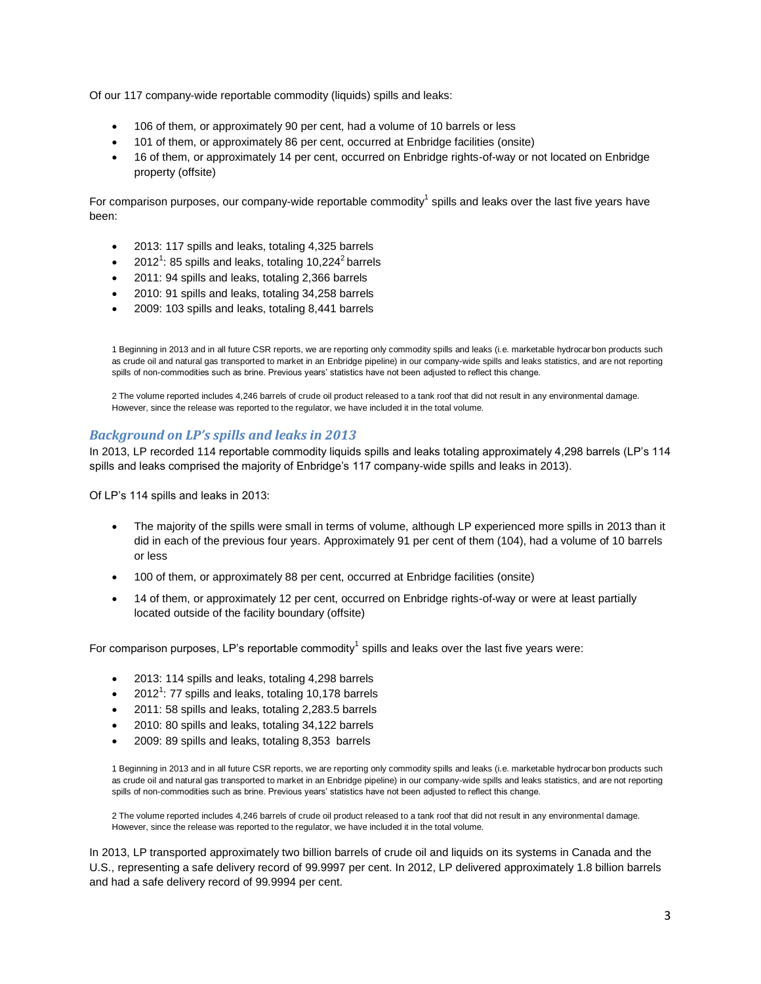Of our 117 company-wide reportable commodity (liquids) spills and leaks:

- 106 of them, or approximately 90 per cent, had a volume of 10 barrels or less
- 101 of them, or approximately 86 per cent, occurred at Enbridge facilities (onsite)
- 16 of them, or approximately 14 per cent, occurred on Enbridge rights-of-way or not located on Enbridge property (offsite)

For comparison purposes, our company-wide reportable commodity<sup>1</sup> spills and leaks over the last five years have been:

- 2013: 117 spills and leaks, totaling 4,325 barrels
- $2012^1$ : 85 spills and leaks, totaling 10,224<sup>2</sup> barrels
- 2011: 94 spills and leaks, totaling 2,366 barrels
- 2010: 91 spills and leaks, totaling 34,258 barrels
- 2009: 103 spills and leaks, totaling 8,441 barrels

1 Beginning in 2013 and in all future CSR reports, we are reporting only commodity spills and leaks (i.e. marketable hydrocarbon products such as crude oil and natural gas transported to market in an Enbridge pipeline) in our company-wide spills and leaks statistics, and are not reporting spills of non-commodities such as brine. Previous years' statistics have not been adjusted to reflect this change.

2 The volume reported includes 4,246 barrels of crude oil product released to a tank roof that did not result in any environmental damage. However, since the release was reported to the regulator, we have included it in the total volume.

#### *Background on LP's spills and leaks in 2013*

In 2013, LP recorded 114 reportable commodity liquids spills and leaks totaling approximately 4,298 barrels (LP's 114 spills and leaks comprised the majority of Enbridge's 117 company-wide spills and leaks in 2013).

Of LP's 114 spills and leaks in 2013:

- The majority of the spills were small in terms of volume, although LP experienced more spills in 2013 than it did in each of the previous four years. Approximately 91 per cent of them (104), had a volume of 10 barrels or less
- 100 of them, or approximately 88 per cent, occurred at Enbridge facilities (onsite)
- 14 of them, or approximately 12 per cent, occurred on Enbridge rights-of-way or were at least partially located outside of the facility boundary (offsite)

For comparison purposes, LP's reportable commodity<sup>1</sup> spills and leaks over the last five years were:

- 2013: 114 spills and leaks, totaling 4,298 barrels
- $\bullet$  2012<sup>1</sup>: 77 spills and leaks, totaling 10,178 barrels
- 2011: 58 spills and leaks, totaling 2,283.5 barrels
- 2010: 80 spills and leaks, totaling 34,122 barrels
- 2009: 89 spills and leaks, totaling 8,353 barrels

1 Beginning in 2013 and in all future CSR reports, we are reporting only commodity spills and leaks (i.e. marketable hydrocarbon products such as crude oil and natural gas transported to market in an Enbridge pipeline) in our company-wide spills and leaks statistics, and are not reporting spills of non-commodities such as brine. Previous years' statistics have not been adjusted to reflect this change.

2 The volume reported includes 4,246 barrels of crude oil product released to a tank roof that did not result in any environmental damage. However, since the release was reported to the regulator, we have included it in the total volume.

In 2013, LP transported approximately two billion barrels of crude oil and liquids on its systems in Canada and the U.S., representing a safe delivery record of 99.9997 per cent. In 2012, LP delivered approximately 1.8 billion barrels and had a safe delivery record of 99.9994 per cent.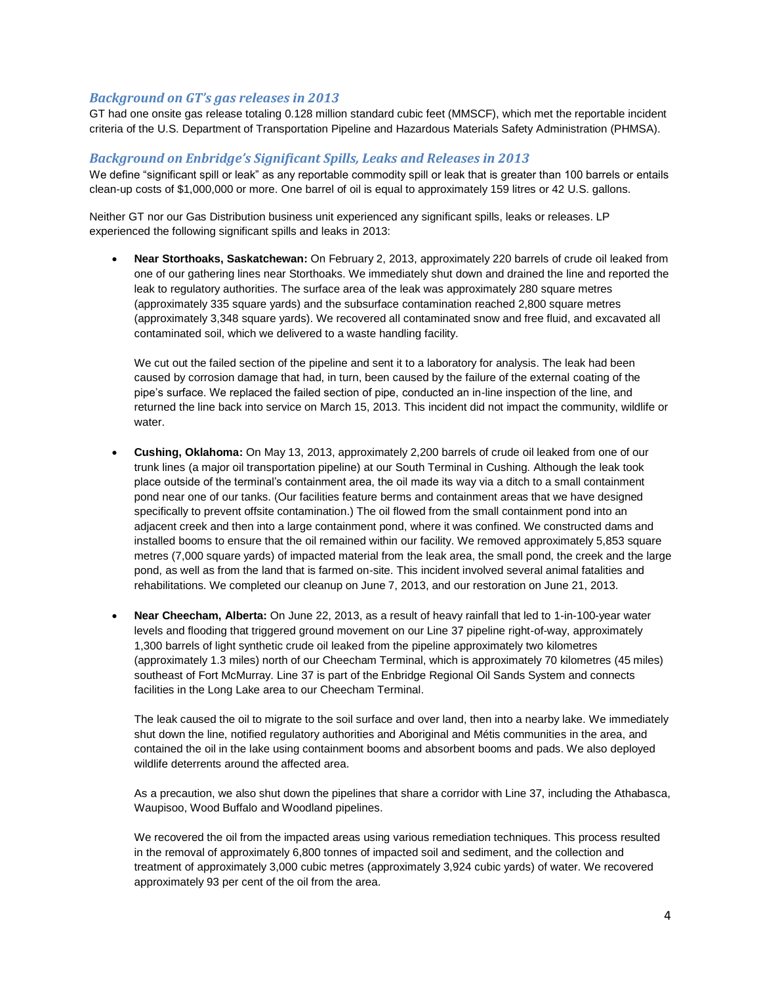#### *Background on GT's gas releases in 2013*

GT had one onsite gas release totaling 0.128 million standard cubic feet (MMSCF), which met the reportable incident criteria of the U.S. Department of Transportation Pipeline and Hazardous Materials Safety Administration (PHMSA).

#### *Background on Enbridge's Significant Spills, Leaks and Releases in 2013*

We define "significant spill or leak" as any reportable commodity spill or leak that is greater than 100 barrels or entails clean-up costs of \$1,000,000 or more. One barrel of oil is equal to approximately 159 litres or 42 U.S. gallons.

Neither GT nor our Gas Distribution business unit experienced any significant spills, leaks or releases. LP experienced the following significant spills and leaks in 2013:

 **Near Storthoaks, Saskatchewan:** On February 2, 2013, approximately 220 barrels of crude oil leaked from one of our gathering lines near Storthoaks. We immediately shut down and drained the line and reported the leak to regulatory authorities. The surface area of the leak was approximately 280 square metres (approximately 335 square yards) and the subsurface contamination reached 2,800 square metres (approximately 3,348 square yards). We recovered all contaminated snow and free fluid, and excavated all contaminated soil, which we delivered to a waste handling facility.

We cut out the failed section of the pipeline and sent it to a laboratory for analysis. The leak had been caused by corrosion damage that had, in turn, been caused by the failure of the external coating of the pipe's surface. We replaced the failed section of pipe, conducted an in-line inspection of the line, and returned the line back into service on March 15, 2013. This incident did not impact the community, wildlife or water.

- **Cushing, Oklahoma:** On May 13, 2013, approximately 2,200 barrels of crude oil leaked from one of our trunk lines (a major oil transportation pipeline) at our South Terminal in Cushing. Although the leak took place outside of the terminal's containment area, the oil made its way via a ditch to a small containment pond near one of our tanks. (Our facilities feature berms and containment areas that we have designed specifically to prevent offsite contamination.) The oil flowed from the small containment pond into an adjacent creek and then into a large containment pond, where it was confined. We constructed dams and installed booms to ensure that the oil remained within our facility. We removed approximately 5,853 square metres (7,000 square yards) of impacted material from the leak area, the small pond, the creek and the large pond, as well as from the land that is farmed on-site. This incident involved several animal fatalities and rehabilitations. We completed our cleanup on June 7, 2013, and our restoration on June 21, 2013.
- **Near Cheecham, Alberta:** On June 22, 2013, as a result of heavy rainfall that led to 1-in-100-year water levels and flooding that triggered ground movement on our Line 37 pipeline right-of-way, approximately 1,300 barrels of light synthetic crude oil leaked from the pipeline approximately two kilometres (approximately 1.3 miles) north of our Cheecham Terminal, which is approximately 70 kilometres (45 miles) southeast of Fort McMurray. Line 37 is part of the Enbridge Regional Oil Sands System and connects facilities in the Long Lake area to our Cheecham Terminal.

The leak caused the oil to migrate to the soil surface and over land, then into a nearby lake. We immediately shut down the line, notified regulatory authorities and Aboriginal and Métis communities in the area, and contained the oil in the lake using containment booms and absorbent booms and pads. We also deployed wildlife deterrents around the affected area.

As a precaution, we also shut down the pipelines that share a corridor with Line 37, including the Athabasca, Waupisoo, Wood Buffalo and Woodland pipelines.

We recovered the oil from the impacted areas using various remediation techniques. This process resulted in the removal of approximately 6,800 tonnes of impacted soil and sediment, and the collection and treatment of approximately 3,000 cubic metres (approximately 3,924 cubic yards) of water. We recovered approximately 93 per cent of the oil from the area.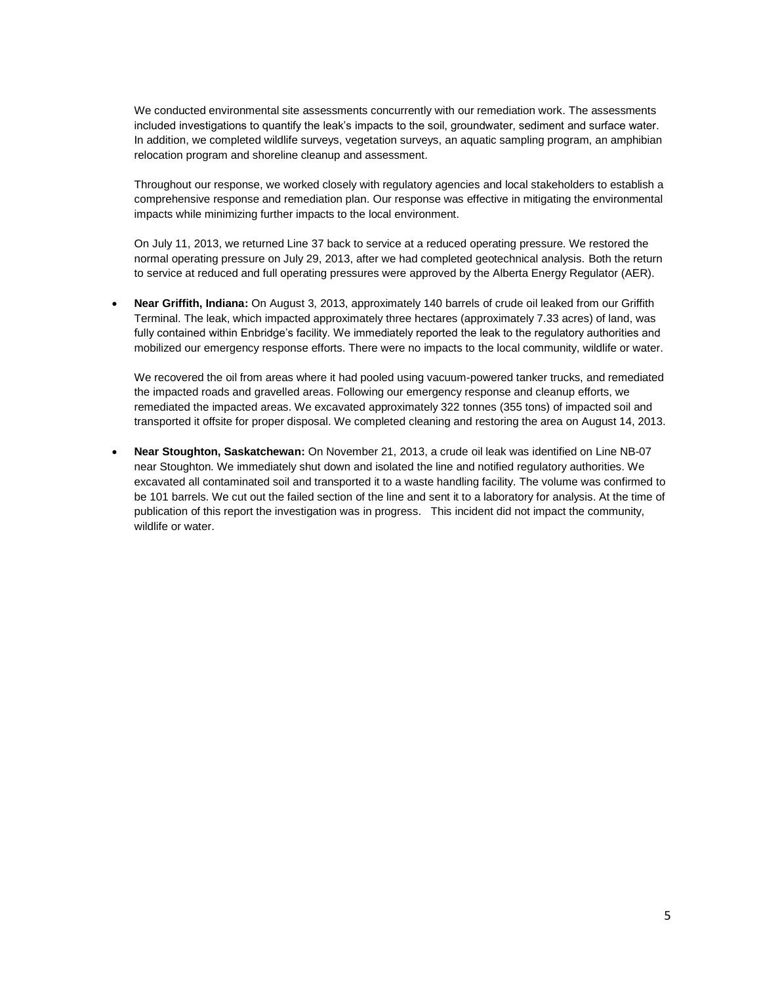We conducted environmental site assessments concurrently with our remediation work. The assessments included investigations to quantify the leak's impacts to the soil, groundwater, sediment and surface water. In addition, we completed wildlife surveys, vegetation surveys, an aquatic sampling program, an amphibian relocation program and shoreline cleanup and assessment.

Throughout our response, we worked closely with regulatory agencies and local stakeholders to establish a comprehensive response and remediation plan. Our response was effective in mitigating the environmental impacts while minimizing further impacts to the local environment.

On July 11, 2013, we returned Line 37 back to service at a reduced operating pressure. We restored the normal operating pressure on July 29, 2013, after we had completed geotechnical analysis. Both the return to service at reduced and full operating pressures were approved by the Alberta Energy Regulator (AER).

 **Near Griffith, Indiana:** On August 3, 2013, approximately 140 barrels of crude oil leaked from our Griffith Terminal. The leak, which impacted approximately three hectares (approximately 7.33 acres) of land, was fully contained within Enbridge's facility. We immediately reported the leak to the regulatory authorities and mobilized our emergency response efforts. There were no impacts to the local community, wildlife or water.

We recovered the oil from areas where it had pooled using vacuum-powered tanker trucks, and remediated the impacted roads and gravelled areas. Following our emergency response and cleanup efforts, we remediated the impacted areas. We excavated approximately 322 tonnes (355 tons) of impacted soil and transported it offsite for proper disposal. We completed cleaning and restoring the area on August 14, 2013.

 **Near Stoughton, Saskatchewan:** On November 21, 2013, a crude oil leak was identified on Line NB-07 near Stoughton. We immediately shut down and isolated the line and notified regulatory authorities. We excavated all contaminated soil and transported it to a waste handling facility. The volume was confirmed to be 101 barrels. We cut out the failed section of the line and sent it to a laboratory for analysis. At the time of publication of this report the investigation was in progress. This incident did not impact the community, wildlife or water.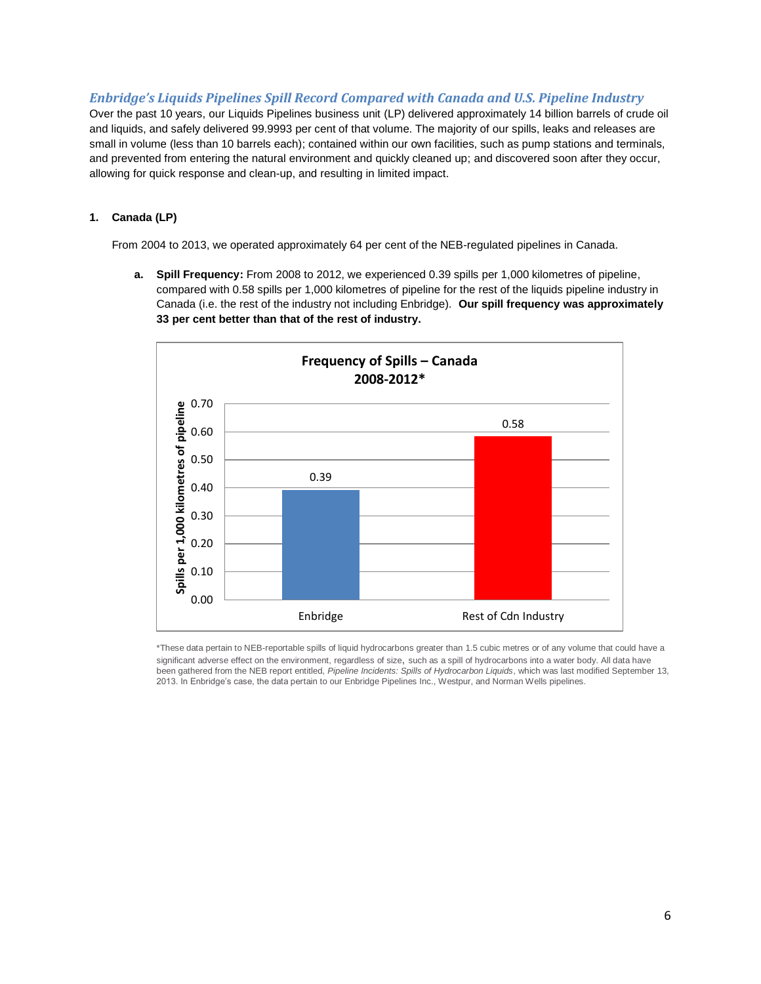### *Enbridge's Liquids Pipelines Spill Record Compared with Canada and U.S. Pipeline Industry*

Over the past 10 years, our Liquids Pipelines business unit (LP) delivered approximately 14 billion barrels of crude oil and liquids, and safely delivered 99.9993 per cent of that volume. The majority of our spills, leaks and releases are small in volume (less than 10 barrels each); contained within our own facilities, such as pump stations and terminals, and prevented from entering the natural environment and quickly cleaned up; and discovered soon after they occur, allowing for quick response and clean-up, and resulting in limited impact.

#### **1. Canada (LP)**

From 2004 to 2013, we operated approximately 64 per cent of the NEB-regulated pipelines in Canada.

**a. Spill Frequency:** From 2008 to 2012, we experienced 0.39 spills per 1,000 kilometres of pipeline, compared with 0.58 spills per 1,000 kilometres of pipeline for the rest of the liquids pipeline industry in Canada (i.e. the rest of the industry not including Enbridge). **Our spill frequency was approximately 33 per cent better than that of the rest of industry.**



\*These data pertain to NEB-reportable spills of liquid hydrocarbons greater than 1.5 cubic metres or of any volume that could have a significant adverse effect on the environment, regardless of size, such as a spill of hydrocarbons into a water body. All data have been gathered from the NEB report entitled, *Pipeline Incidents: Spills of Hydrocarbon Liquids*, which was last modified September 13, 2013. In Enbridge's case, the data pertain to our Enbridge Pipelines Inc., Westpur, and Norman Wells pipelines.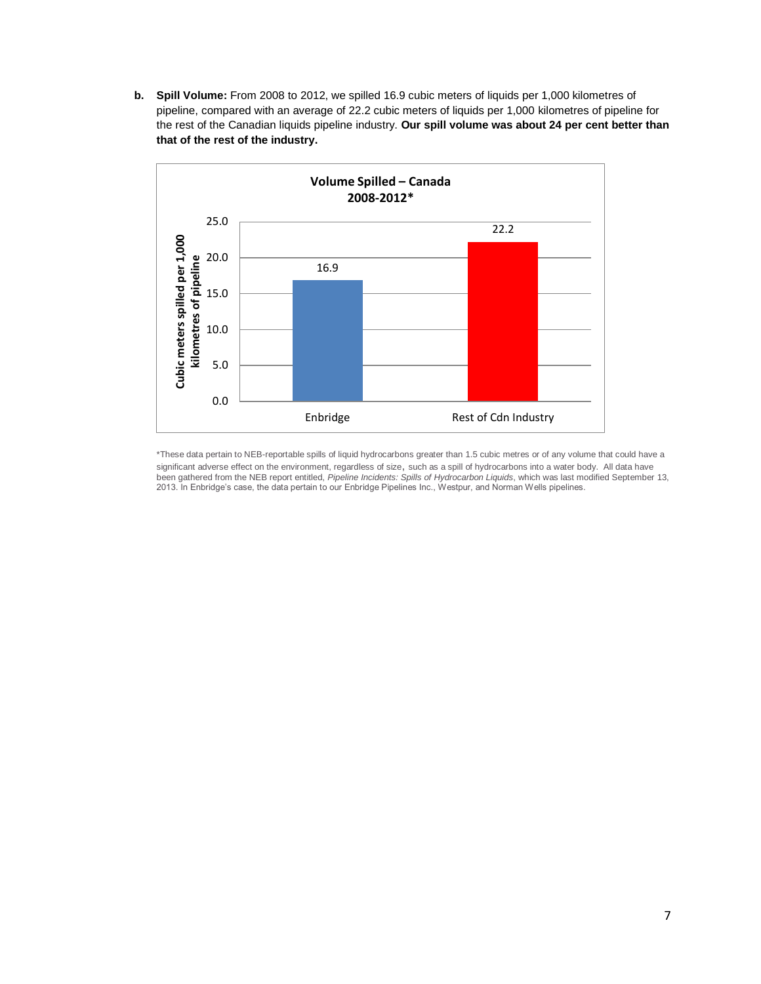**b. Spill Volume:** From 2008 to 2012, we spilled 16.9 cubic meters of liquids per 1,000 kilometres of pipeline, compared with an average of 22.2 cubic meters of liquids per 1,000 kilometres of pipeline for the rest of the Canadian liquids pipeline industry. **Our spill volume was about 24 per cent better than that of the rest of the industry.**



\*These data pertain to NEB-reportable spills of liquid hydrocarbons greater than 1.5 cubic metres or of any volume that could have a significant adverse effect on the environment, regardless of size, such as a spill of hydrocarbons into a water body. All data have been gathered from the NEB report entitled, *Pipeline Incidents: Spills of Hydrocarbon Liquids*, which was last modified September 13, 2013. In Enbridge's case, the data pertain to our Enbridge Pipelines Inc., Westpur, and Norman Wells pipelines.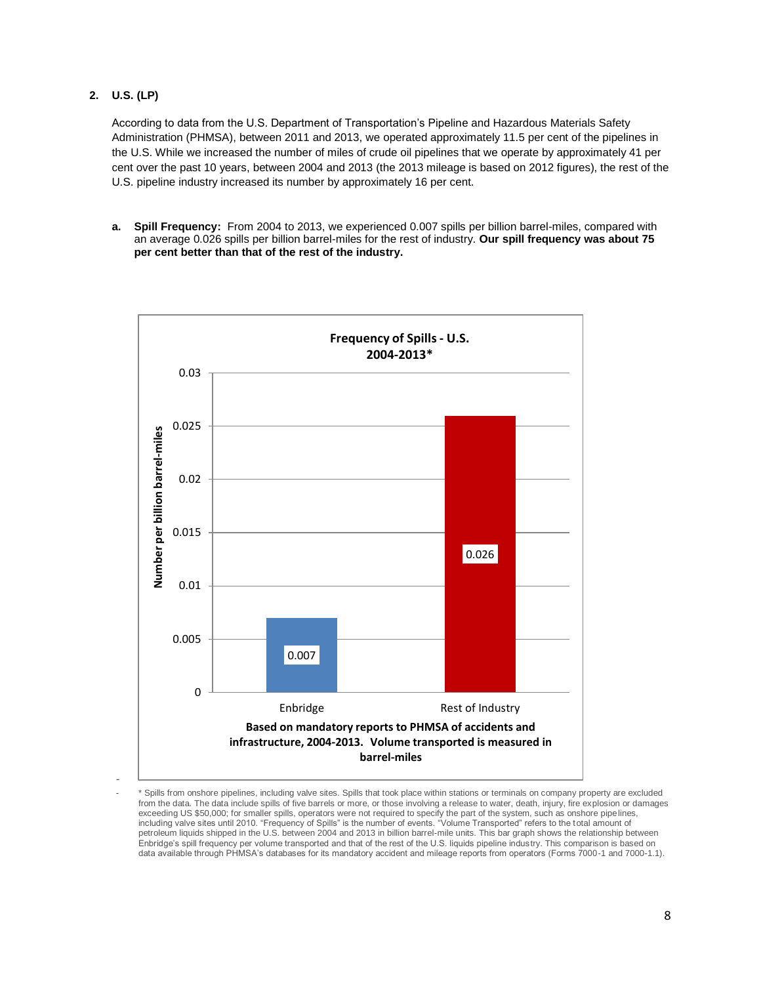**2. U.S. (LP)**

According to data from the U.S. Department of Transportation's Pipeline and Hazardous Materials Safety Administration (PHMSA), between 2011 and 2013, we operated approximately 11.5 per cent of the pipelines in the U.S. While we increased the number of miles of crude oil pipelines that we operate by approximately 41 per cent over the past 10 years, between 2004 and 2013 (the 2013 mileage is based on 2012 figures), the rest of the U.S. pipeline industry increased its number by approximately 16 per cent.

**a. Spill Frequency:** From 2004 to 2013, we experienced 0.007 spills per billion barrel-miles, compared with an average 0.026 spills per billion barrel-miles for the rest of industry. **Our spill frequency was about 75 per cent better than that of the rest of the industry.**



- - \* Spills from onshore pipelines, including valve sites. Spills that took place within stations or terminals on company property are excluded from the data. The data include spills of five barrels or more, or those involving a release to water, death, injury, fire explosion or damages exceeding US \$50,000; for smaller spills, operators were not required to specify the part of the system, such as onshore pipelines, including valve sites until 2010. "Frequency of Spills" is the number of events. "Volume Transported" refers to the total amount of petroleum liquids shipped in the U.S. between 2004 and 2013 in billion barrel-mile units. This bar graph shows the relationship between Enbridge's spill frequency per volume transported and that of the rest of the U.S. liquids pipeline industry. This comparison is based on data available through PHMSA's databases for its mandatory accident and mileage reports from operators (Forms 7000-1 and 7000-1.1).